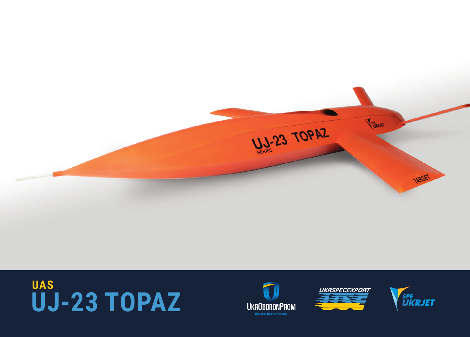

## US-23 TOPAZ